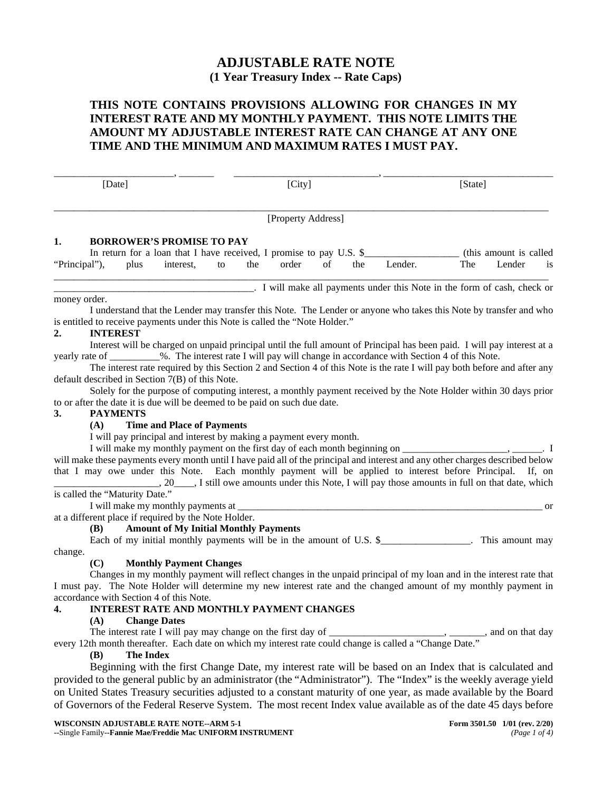# **ADJUSTABLE RATE NOTE (1 Year Treasury Index -- Rate Caps)**

## **THIS NOTE CONTAINS PROVISIONS ALLOWING FOR CHANGES IN MY INTEREST RATE AND MY MONTHLY PAYMENT. THIS NOTE LIMITS THE AMOUNT MY ADJUSTABLE INTEREST RATE CAN CHANGE AT ANY ONE TIME AND THE MINIMUM AND MAXIMUM RATES I MUST PAY.**

\_\_\_\_\_\_\_\_\_\_\_\_\_\_\_\_\_\_\_\_\_\_\_\_, \_\_\_\_\_\_\_ \_\_\_\_\_\_\_\_\_\_\_\_\_\_\_\_\_\_\_\_\_\_\_\_\_\_\_\_\_, \_\_\_\_\_\_\_\_\_\_\_\_\_\_\_\_\_\_\_\_\_\_\_\_\_\_\_\_\_\_\_\_\_\_ [Date] [City] [State] [City] [State] \_\_\_\_\_\_\_\_\_\_\_\_\_\_\_\_\_\_\_\_\_\_\_\_\_\_\_\_\_\_\_\_\_\_\_\_\_\_\_\_\_\_\_\_\_\_\_\_\_\_\_\_\_\_\_\_\_\_\_\_\_\_\_\_\_\_\_\_\_\_\_\_\_\_\_\_\_\_\_\_\_\_\_\_\_\_\_\_\_\_\_\_\_\_\_\_\_\_\_ [Property Address] **1. BORROWER'S PROMISE TO PAY** In return for a loan that I have received, I promise to pay U.S. \$\_\_\_\_\_\_\_\_\_\_\_\_\_\_\_\_\_\_\_\_ (this amount is called  $\frac{1}{2}$ ). plus interest, to the order of the Lender. The Lender is "Principal"), plus interest, to the order of the Lender. The Lender is \_\_\_\_\_\_\_\_\_\_\_\_\_\_\_\_\_\_\_\_\_\_\_\_\_\_\_\_\_\_\_\_\_\_\_\_\_\_\_\_\_\_\_\_\_\_\_\_\_\_\_\_\_\_\_\_\_\_\_\_\_\_\_\_\_\_\_\_\_\_\_\_\_\_\_\_\_\_\_\_\_\_\_\_\_\_\_\_\_\_\_\_\_\_\_\_\_\_\_ \_\_\_\_\_\_\_\_\_\_\_\_\_\_\_\_\_\_\_\_\_\_\_\_\_\_\_\_\_\_\_\_\_\_\_\_\_\_\_\_. I will make all payments under this Note in the form of cash, check or money order. I understand that the Lender may transfer this Note. The Lender or anyone who takes this Note by transfer and who is entitled to receive payments under this Note is called the "Note Holder."<br>2. INTEREST **2. INTEREST** Interest will be charged on unpaid principal until the full amount of Principal has been paid. I will pay interest at a yearly rate of \_\_\_\_\_\_\_\_\_\_%. The interest rate I will pay will change in accordance with Section 4 of this Note. The interest rate required by this Section 2 and Section 4 of this Note is the rate I will pay both before and after any default described in Section 7(B) of this Note. Solely for the purpose of computing interest, a monthly payment received by the Note Holder within 30 days prior to or after the date it is due will be deemed to be paid on such due date. **3. PAYMENTS (A) Time and Place of Payments** I will pay principal and interest by making a payment every month. I will make my monthly payment on the first day of each month beginning on \_\_\_\_\_\_\_\_\_\_\_\_\_\_\_\_\_\_\_\_\_, \_\_\_\_\_\_. I will make these payments every month until I have paid all of the principal and interest and any other charges described below that I may owe under this Note. Each monthly payment will be applied to interest before Principal. If, on \_\_\_\_\_\_\_\_\_\_\_\_\_\_\_\_\_\_\_\_\_, 20\_\_\_\_, I still owe amounts under this Note, I will pay those amounts in full on that date, which is called the "Maturity Date." I will make my monthly payments at \_\_\_\_\_\_\_\_\_\_\_\_\_\_\_\_\_\_\_\_\_\_\_\_\_\_\_\_\_\_\_\_\_\_\_\_\_\_\_\_\_\_\_\_\_\_\_\_\_\_\_\_\_\_\_\_\_\_\_\_\_ or at a different place if required by the Note Holder. **(B) Amount of My Initial Monthly Payments** Each of my initial monthly payments will be in the amount of U.S. \$\_\_\_\_\_\_\_\_\_\_\_\_\_\_\_\_. This amount may change. **(C) Monthly Payment Changes** Changes in my monthly payment will reflect changes in the unpaid principal of my loan and in the interest rate that I must pay. The Note Holder will determine my new interest rate and the changed amount of my monthly payment in accordance with Section 4 of this Note. **4. INTEREST RATE AND MONTHLY PAYMENT CHANGES**

# **(A) Change Dates**

The interest rate I will pay may change on the first day of \_\_\_\_\_\_\_\_\_\_\_\_\_\_\_\_\_\_\_\_\_, \_\_\_\_\_\_, and on that day every 12th month thereafter. Each date on which my interest rate could change is called a "Change Date."

#### **(B) The Index**

Beginning with the first Change Date, my interest rate will be based on an Index that is calculated and provided to the general public by an administrator (the "Administrator"). The "Index" is the weekly average yield on United States Treasury securities adjusted to a constant maturity of one year, as made available by the Board of Governors of the Federal Reserve System. The most recent Index value available as of the date 45 days before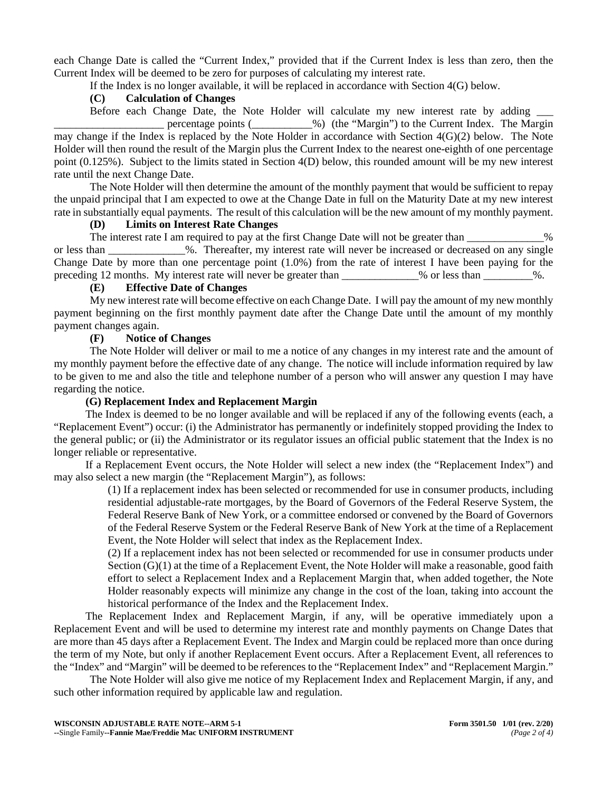each Change Date is called the "Current Index," provided that if the Current Index is less than zero, then the Current Index will be deemed to be zero for purposes of calculating my interest rate.

If the Index is no longer available, it will be replaced in accordance with Section 4(G) below.

### **(C) Calculation of Changes**

Before each Change Date, the Note Holder will calculate my new interest rate by adding \_\_\_

\_\_\_\_\_\_\_\_\_\_\_\_\_\_\_\_\_\_\_\_ percentage points (\_\_\_\_\_\_\_\_\_\_\_%) (the "Margin") to the Current Index. The Margin may change if the Index is replaced by the Note Holder in accordance with Section 4(G)(2) below. The Note Holder will then round the result of the Margin plus the Current Index to the nearest one-eighth of one percentage point (0.125%). Subject to the limits stated in Section 4(D) below, this rounded amount will be my new interest rate until the next Change Date.

The Note Holder will then determine the amount of the monthly payment that would be sufficient to repay the unpaid principal that I am expected to owe at the Change Date in full on the Maturity Date at my new interest rate in substantially equal payments. The result of this calculation will be the new amount of my monthly payment.

#### **(D) Limits on Interest Rate Changes**

The interest rate I am required to pay at the first Change Date will not be greater than  $\%$ or less than \_\_\_\_\_\_\_\_\_\_\_\_\_\_%. Thereafter, my interest rate will never be increased or decreased on any single Change Date by more than one percentage point (1.0%) from the rate of interest I have been paying for the preceding 12 months. My interest rate will never be greater than 1998 we less than 2008.

#### **(E) Effective Date of Changes**

My new interest rate will become effective on each Change Date. I will pay the amount of my new monthly payment beginning on the first monthly payment date after the Change Date until the amount of my monthly payment changes again.

#### **(F) Notice of Changes**

The Note Holder will deliver or mail to me a notice of any changes in my interest rate and the amount of my monthly payment before the effective date of any change. The notice will include information required by law to be given to me and also the title and telephone number of a person who will answer any question I may have regarding the notice.

#### **(G) Replacement Index and Replacement Margin**

The Index is deemed to be no longer available and will be replaced if any of the following events (each, a "Replacement Event") occur: (i) the Administrator has permanently or indefinitely stopped providing the Index to the general public; or (ii) the Administrator or its regulator issues an official public statement that the Index is no longer reliable or representative.

If a Replacement Event occurs, the Note Holder will select a new index (the "Replacement Index") and may also select a new margin (the "Replacement Margin"), as follows:

(1) If a replacement index has been selected or recommended for use in consumer products, including residential adjustable-rate mortgages, by the Board of Governors of the Federal Reserve System, the Federal Reserve Bank of New York, or a committee endorsed or convened by the Board of Governors of the Federal Reserve System or the Federal Reserve Bank of New York at the time of a Replacement Event, the Note Holder will select that index as the Replacement Index.

(2) If a replacement index has not been selected or recommended for use in consumer products under Section (G)(1) at the time of a Replacement Event, the Note Holder will make a reasonable, good faith effort to select a Replacement Index and a Replacement Margin that, when added together, the Note Holder reasonably expects will minimize any change in the cost of the loan, taking into account the historical performance of the Index and the Replacement Index.

The Replacement Index and Replacement Margin, if any, will be operative immediately upon a Replacement Event and will be used to determine my interest rate and monthly payments on Change Dates that are more than 45 days after a Replacement Event. The Index and Margin could be replaced more than once during the term of my Note, but only if another Replacement Event occurs. After a Replacement Event, all references to the "Index" and "Margin" will be deemed to be references to the "Replacement Index" and "Replacement Margin."

The Note Holder will also give me notice of my Replacement Index and Replacement Margin, if any, and such other information required by applicable law and regulation.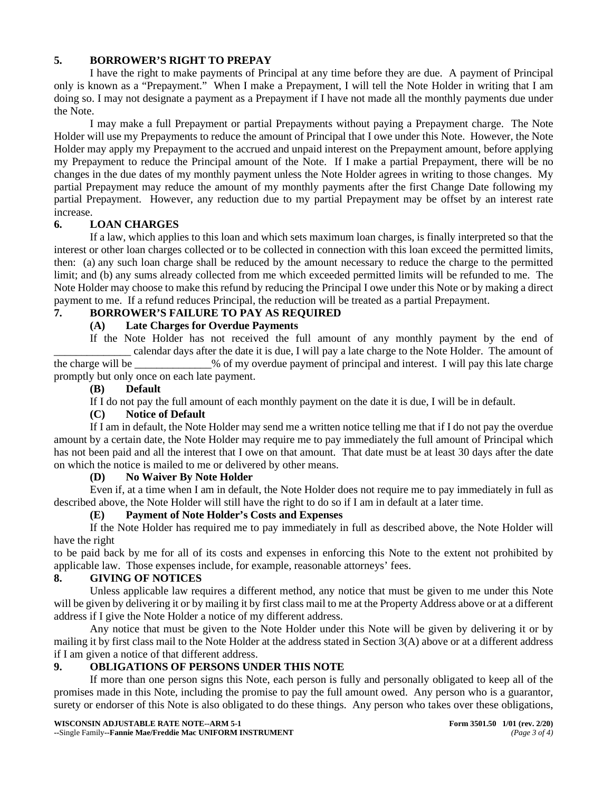### **5. BORROWER'S RIGHT TO PREPAY**

I have the right to make payments of Principal at any time before they are due. A payment of Principal only is known as a "Prepayment." When I make a Prepayment, I will tell the Note Holder in writing that I am doing so. I may not designate a payment as a Prepayment if I have not made all the monthly payments due under the Note.

I may make a full Prepayment or partial Prepayments without paying a Prepayment charge. The Note Holder will use my Prepayments to reduce the amount of Principal that I owe under this Note. However, the Note Holder may apply my Prepayment to the accrued and unpaid interest on the Prepayment amount, before applying my Prepayment to reduce the Principal amount of the Note. If I make a partial Prepayment, there will be no changes in the due dates of my monthly payment unless the Note Holder agrees in writing to those changes. My partial Prepayment may reduce the amount of my monthly payments after the first Change Date following my partial Prepayment. However, any reduction due to my partial Prepayment may be offset by an interest rate increase.

### **6. LOAN CHARGES**

If a law, which applies to this loan and which sets maximum loan charges, is finally interpreted so that the interest or other loan charges collected or to be collected in connection with this loan exceed the permitted limits, then: (a) any such loan charge shall be reduced by the amount necessary to reduce the charge to the permitted limit; and (b) any sums already collected from me which exceeded permitted limits will be refunded to me. The Note Holder may choose to make this refund by reducing the Principal I owe under this Note or by making a direct payment to me. If a refund reduces Principal, the reduction will be treated as a partial Prepayment.

### **7. BORROWER'S FAILURE TO PAY AS REQUIRED**

### **(A) Late Charges for Overdue Payments**

If the Note Holder has not received the full amount of any monthly payment by the end of \_\_\_\_\_\_\_\_\_\_\_\_\_\_ calendar days after the date it is due, I will pay a late charge to the Note Holder. The amount of the charge will be  $\%$  of my overdue payment of principal and interest. I will pay this late charge promptly but only once on each late payment.

## **(B) Default**

If I do not pay the full amount of each monthly payment on the date it is due, I will be in default.

#### **(C) Notice of Default**

If I am in default, the Note Holder may send me a written notice telling me that if I do not pay the overdue amount by a certain date, the Note Holder may require me to pay immediately the full amount of Principal which has not been paid and all the interest that I owe on that amount. That date must be at least 30 days after the date on which the notice is mailed to me or delivered by other means.

### **(D) No Waiver By Note Holder**

Even if, at a time when I am in default, the Note Holder does not require me to pay immediately in full as described above, the Note Holder will still have the right to do so if I am in default at a later time.

### **(E) Payment of Note Holder's Costs and Expenses**

If the Note Holder has required me to pay immediately in full as described above, the Note Holder will have the right

to be paid back by me for all of its costs and expenses in enforcing this Note to the extent not prohibited by applicable law. Those expenses include, for example, reasonable attorneys' fees.

#### **8. GIVING OF NOTICES**

Unless applicable law requires a different method, any notice that must be given to me under this Note will be given by delivering it or by mailing it by first class mail to me at the Property Address above or at a different address if I give the Note Holder a notice of my different address.

Any notice that must be given to the Note Holder under this Note will be given by delivering it or by mailing it by first class mail to the Note Holder at the address stated in Section 3(A) above or at a different address if I am given a notice of that different address.

#### **9. OBLIGATIONS OF PERSONS UNDER THIS NOTE**

If more than one person signs this Note, each person is fully and personally obligated to keep all of the promises made in this Note, including the promise to pay the full amount owed. Any person who is a guarantor, surety or endorser of this Note is also obligated to do these things. Any person who takes over these obligations,